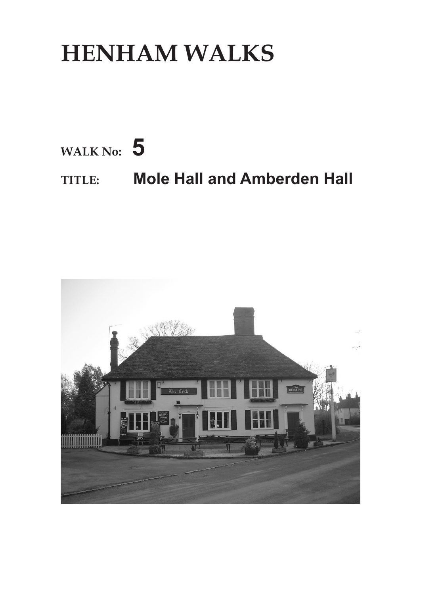## **HENHAM WALKS**



## **TITLE: Mole Hall and Amberden Hall**

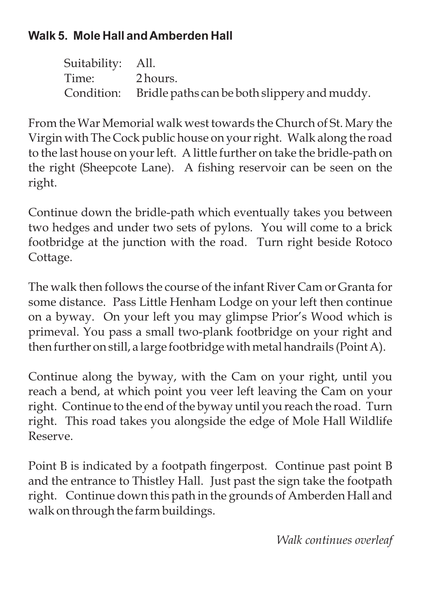## **Walk 5. Mole Hall andAmberden Hall**

Suitability: All. Time: 2 hours. Condition: Bridle paths can be both slippery and muddy.

From the War Memorial walk west towards the Church of St. Mary the Virgin with The Cock public house on your right. Walk along the road to the last house on your left. A little further on take the bridle-path on the right (Sheepcote Lane). A fishing reservoir can be seen on the right.

Continue down the bridle-path which eventually takes you between two hedges and under two sets of pylons. You will come to a brick footbridge at the junction with the road. Turn right beside Rotoco Cottage.

The walk then follows the course of the infant River Cam or Granta for some distance. Pass Little Henham Lodge on your left then continue on a byway. On your left you may glimpse Prior's Wood which is primeval. You pass a small two-plank footbridge on your right and then further on still, a large footbridge with metal handrails (Point A).

Continue along the byway, with the Cam on your right, until you reach a bend, at which point you veer left leaving the Cam on your right. Continue to the end of the byway until you reach the road. Turn right. This road takes you alongside the edge of Mole Hall Wildlife Reserve.

Point B is indicated by a footpath fingerpost. Continue past point B and the entrance to Thistley Hall. Just past the sign take the footpath right. Continue down this path in the grounds of Amberden Hall and walk on through the farm buildings.

*Walk continues overleaf*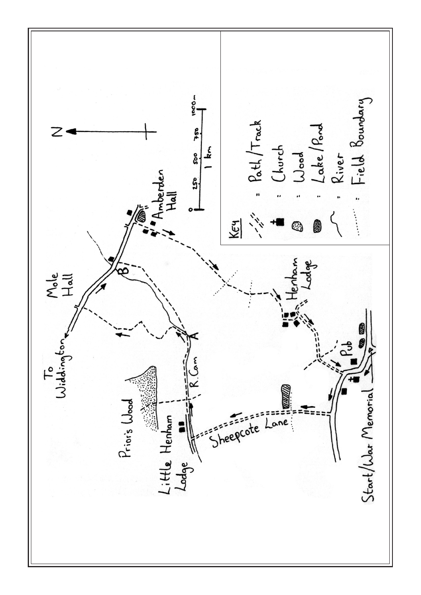